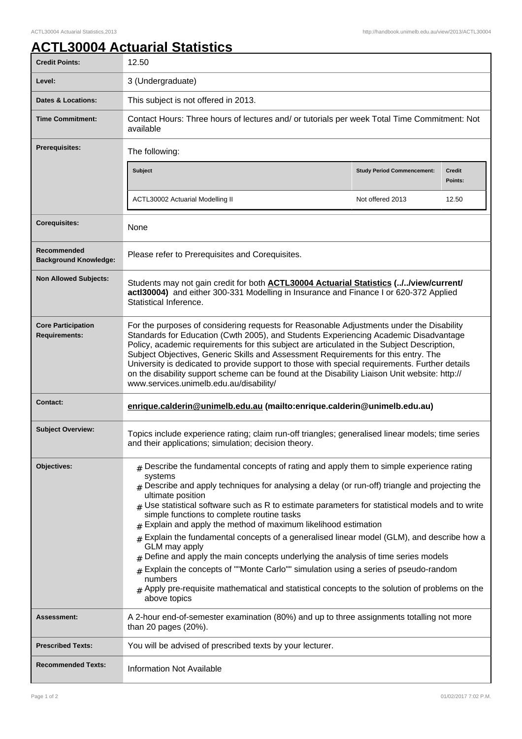## **ACTL30004 Actuarial Statistics**

| <b>Credit Points:</b>                             | 12.50                                                                                                                                                                                                                                                                                                                                                                                                                                                                                                                                                                                                                                                                                                                                                                                                                                                                                   |                                   |                          |
|---------------------------------------------------|-----------------------------------------------------------------------------------------------------------------------------------------------------------------------------------------------------------------------------------------------------------------------------------------------------------------------------------------------------------------------------------------------------------------------------------------------------------------------------------------------------------------------------------------------------------------------------------------------------------------------------------------------------------------------------------------------------------------------------------------------------------------------------------------------------------------------------------------------------------------------------------------|-----------------------------------|--------------------------|
| Level:                                            | 3 (Undergraduate)                                                                                                                                                                                                                                                                                                                                                                                                                                                                                                                                                                                                                                                                                                                                                                                                                                                                       |                                   |                          |
| <b>Dates &amp; Locations:</b>                     | This subject is not offered in 2013.                                                                                                                                                                                                                                                                                                                                                                                                                                                                                                                                                                                                                                                                                                                                                                                                                                                    |                                   |                          |
| <b>Time Commitment:</b>                           | Contact Hours: Three hours of lectures and/ or tutorials per week Total Time Commitment: Not<br>available                                                                                                                                                                                                                                                                                                                                                                                                                                                                                                                                                                                                                                                                                                                                                                               |                                   |                          |
| <b>Prerequisites:</b>                             | The following:                                                                                                                                                                                                                                                                                                                                                                                                                                                                                                                                                                                                                                                                                                                                                                                                                                                                          |                                   |                          |
|                                                   | <b>Subject</b>                                                                                                                                                                                                                                                                                                                                                                                                                                                                                                                                                                                                                                                                                                                                                                                                                                                                          | <b>Study Period Commencement:</b> | <b>Credit</b><br>Points: |
|                                                   | ACTL30002 Actuarial Modelling II                                                                                                                                                                                                                                                                                                                                                                                                                                                                                                                                                                                                                                                                                                                                                                                                                                                        | Not offered 2013                  | 12.50                    |
| <b>Corequisites:</b>                              | None                                                                                                                                                                                                                                                                                                                                                                                                                                                                                                                                                                                                                                                                                                                                                                                                                                                                                    |                                   |                          |
| Recommended<br><b>Background Knowledge:</b>       | Please refer to Prerequisites and Corequisites.                                                                                                                                                                                                                                                                                                                                                                                                                                                                                                                                                                                                                                                                                                                                                                                                                                         |                                   |                          |
| <b>Non Allowed Subjects:</b>                      | Students may not gain credit for both <b>ACTL30004 Actuarial Statistics (//view/current/</b><br>actl30004) and either 300-331 Modelling in Insurance and Finance I or 620-372 Applied<br>Statistical Inference.                                                                                                                                                                                                                                                                                                                                                                                                                                                                                                                                                                                                                                                                         |                                   |                          |
| <b>Core Participation</b><br><b>Requirements:</b> | For the purposes of considering requests for Reasonable Adjustments under the Disability<br>Standards for Education (Cwth 2005), and Students Experiencing Academic Disadvantage<br>Policy, academic requirements for this subject are articulated in the Subject Description,<br>Subject Objectives, Generic Skills and Assessment Requirements for this entry. The<br>University is dedicated to provide support to those with special requirements. Further details<br>on the disability support scheme can be found at the Disability Liaison Unit website: http://<br>www.services.unimelb.edu.au/disability/                                                                                                                                                                                                                                                                      |                                   |                          |
| <b>Contact:</b>                                   | enrique.calderin@unimelb.edu.au (mailto:enrique.calderin@unimelb.edu.au)                                                                                                                                                                                                                                                                                                                                                                                                                                                                                                                                                                                                                                                                                                                                                                                                                |                                   |                          |
| <b>Subject Overview:</b>                          | Topics include experience rating; claim run-off triangles; generalised linear models; time series<br>and their applications; simulation; decision theory.                                                                                                                                                                                                                                                                                                                                                                                                                                                                                                                                                                                                                                                                                                                               |                                   |                          |
| Objectives:                                       | $#$ Describe the fundamental concepts of rating and apply them to simple experience rating<br>systems<br>$_{\rm #}$ Describe and apply techniques for analysing a delay (or run-off) triangle and projecting the<br>ultimate position<br>$#$ Use statistical software such as R to estimate parameters for statistical models and to write<br>simple functions to complete routine tasks<br>$#$ Explain and apply the method of maximum likelihood estimation<br>$#$ Explain the fundamental concepts of a generalised linear model (GLM), and describe how a<br>GLM may apply<br>Define and apply the main concepts underlying the analysis of time series models<br>Explain the concepts of ""Monte Carlo"" simulation using a series of pseudo-random<br>numbers<br>$#$ Apply pre-requisite mathematical and statistical concepts to the solution of problems on the<br>above topics |                                   |                          |
| <b>Assessment:</b>                                | A 2-hour end-of-semester examination (80%) and up to three assignments totalling not more<br>than 20 pages (20%).                                                                                                                                                                                                                                                                                                                                                                                                                                                                                                                                                                                                                                                                                                                                                                       |                                   |                          |
| <b>Prescribed Texts:</b>                          | You will be advised of prescribed texts by your lecturer.                                                                                                                                                                                                                                                                                                                                                                                                                                                                                                                                                                                                                                                                                                                                                                                                                               |                                   |                          |
| <b>Recommended Texts:</b>                         | <b>Information Not Available</b>                                                                                                                                                                                                                                                                                                                                                                                                                                                                                                                                                                                                                                                                                                                                                                                                                                                        |                                   |                          |